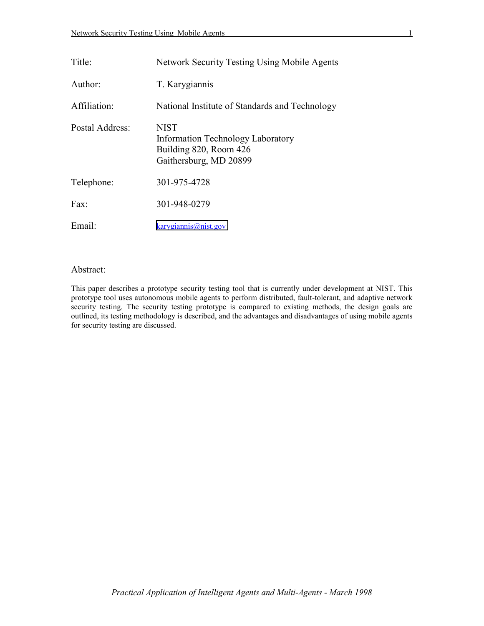| Title:          | <b>Network Security Testing Using Mobile Agents</b>                                                  |
|-----------------|------------------------------------------------------------------------------------------------------|
| Author:         | T. Karygiannis                                                                                       |
| Affiliation:    | National Institute of Standards and Technology                                                       |
| Postal Address: | <b>NIST</b><br>Information Technology Laboratory<br>Building 820, Room 426<br>Gaithersburg, MD 20899 |
| Telephone:      | 301-975-4728                                                                                         |
| Fax             | 301-948-0279                                                                                         |
| Email:          | karygiannis@nist.gov                                                                                 |

# Abstract:

Abstract:<br>This paper describes a prototype security testing tool that is currently under development at NIST. This prototype tool uses autonomous mobile agents to perform distributed, fault-tolerant, and adaptive network security testing. The security testing prototype is compared to existing methods, the design goals are outlined, its testing methodology is described, and the advantages and disadvantages of using mobile agents for security testing are discussed.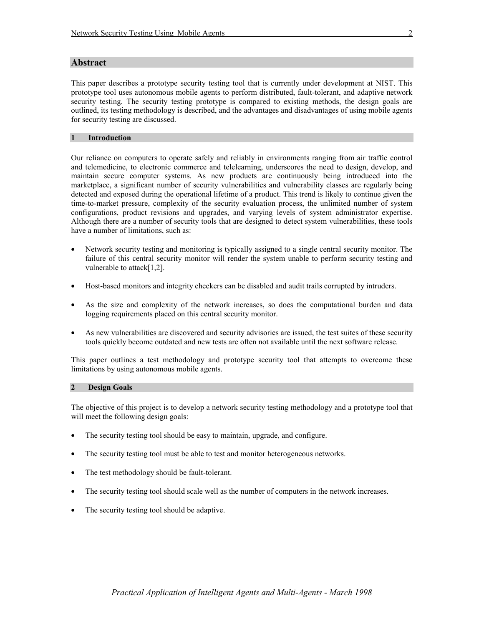# **Abstract**

 This paper describes a prototype security testing tool that is currently under development at NIST. This prototype tool uses autonomous mobile agents to perform distributed, fault-tolerant, and adaptive network security testing. The security testing prototype is compared to existing methods, the design goals are outlined, its testing methodology is described, and the advantages and disadvantages of using mobile agents for security testing are discussed.

#### **1 Introduction**

 maintain secure computer systems. As new products are continuously being introduced into the detected and exposed during the operational lifetime of a product. This trend is likely to continue given the Our reliance on computers to operate safely and reliably in environments ranging from air traffic control and telemedicine, to electronic commerce and telelearning, underscores the need to design, develop, and marketplace, a significant number of security vulnerabilities and vulnerability classes are regularly being time-to-market pressure, complexity of the security evaluation process, the unlimited number of system configurations, product revisions and upgrades, and varying levels of system administrator expertise. Although there are a number of security tools that are designed to detect system vulnerabilities, these tools have a number of limitations, such as:

- Network security testing and monitoring is typically assigned to a single central security monitor. The failure of this central security monitor will render the system unable to perform security testing and vulnerable to attack[1,2].
- Host-based monitors and integrity checkers can be disabled and audit trails corrupted by intruders.
- logging requirements placed on this central security monitor. As the size and complexity of the network increases, so does the computational burden and data
- As new vulnerabilities are discovered and security advisories are issued, the test suites of these security tools quickly become outdated and new tests are often not available until the next software release.

This paper outlines a test methodology and prototype security tool that attempts to overcome these limitations by using autonomous mobile agents.

#### **Design Goals 2**

The objective of this project is to develop a network security testing methodology and a prototype tool that will meet the following design goals:

- The security testing tool should be easy to maintain, upgrade, and configure.
- The security testing tool must be able to test and monitor heterogeneous networks.
- The test methodology should be fault-tolerant.
- The security testing tool should scale well as the number of computers in the network increases.
- The security testing tool should be adaptive.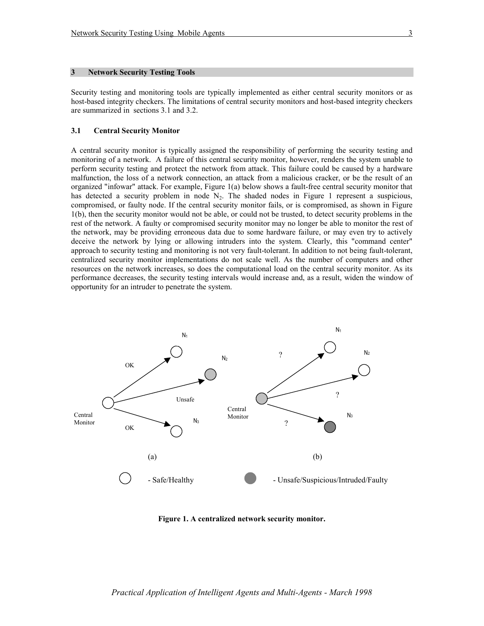Security testing and monitoring tools are typically implemented as either central security monitors or as host-based integrity checkers. The limitations of central security monitors and host-based integrity checkers are summarized in sections 3.1 and 3.2.

### **3.1 Central Security Monitor**

 monitoring of a network. A failure of this central security monitor, however, renders the system unable to organized "infowar" attack. For example, Figure 1(a) below shows a fault-free central security monitor that 1(b), then the security monitor would not be able, or could not be trusted, to detect security problems in the A central security monitor is typically assigned the responsibility of performing the security testing and perform security testing and protect the network from attack. This failure could be caused by a hardware malfunction, the loss of a network connection, an attack from a malicious cracker, or be the result of an has detected a security problem in node  $N_2$ . The shaded nodes in Figure 1 represent a suspicious, compromised, or faulty node. If the central security monitor fails, or is compromised, as shown in Figure rest of the network. A faulty or compromised security monitor may no longer be able to monitor the rest of the network, may be providing erroneous data due to some hardware failure, or may even try to actively deceive the network by lying or allowing intruders into the system. Clearly, this "command center" approach to security testing and monitoring is not very fault-tolerant. In addition to not being fault-tolerant, centralized security monitor implementations do not scale well. As the number of computers and other resources on the network increases, so does the computational load on the central security monitor. As its performance decreases, the security testing intervals would increase and, as a result, widen the window of opportunity for an intruder to penetrate the system.



**Figure 1. A centralized network security monitor.**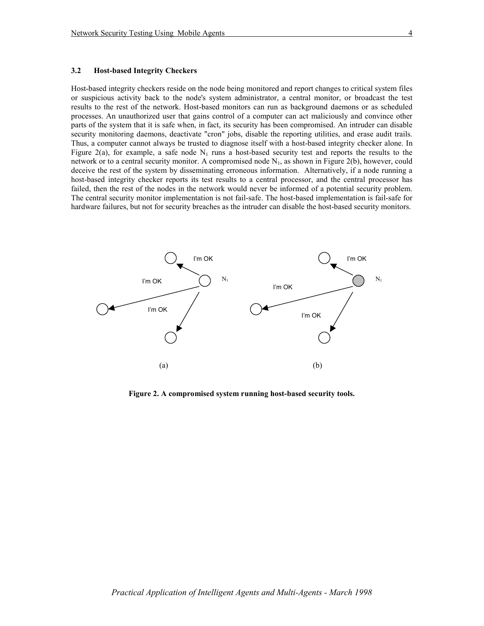#### **3.2 Host-based Integrity Checkers**

 Host-based integrity checkers reside on the node being monitored and report changes to critical system files parts of the system that it is safe when, in fact, its security has been compromised. An intruder can disable or suspicious activity back to the node's system administrator, a central monitor, or broadcast the test results to the rest of the network. Host-based monitors can run as background daemons or as scheduled processes. An unauthorized user that gains control of a computer can act maliciously and convince other security monitoring daemons, deactivate "cron" jobs, disable the reporting utilities, and erase audit trails. Thus, a computer cannot always be trusted to diagnose itself with a host-based integrity checker alone. In Figure 2(a), for example, a safe node  $N_1$  runs a host-based security test and reports the results to the network or to a central security monitor. A compromised node  $N_1$ , as shown in Figure 2(b), however, could deceive the rest of the system by disseminating erroneous information. Alternatively, if a node running a host-based integrity checker reports its test results to a central processor, and the central processor has failed, then the rest of the nodes in the network would never be informed of a potential security problem. The central security monitor implementation is not fail-safe. The host-based implementation is fail-safe for hardware failures, but not for security breaches as the intruder can disable the host-based security monitors.



**Figure 2. A compromised system running host-based security tools.**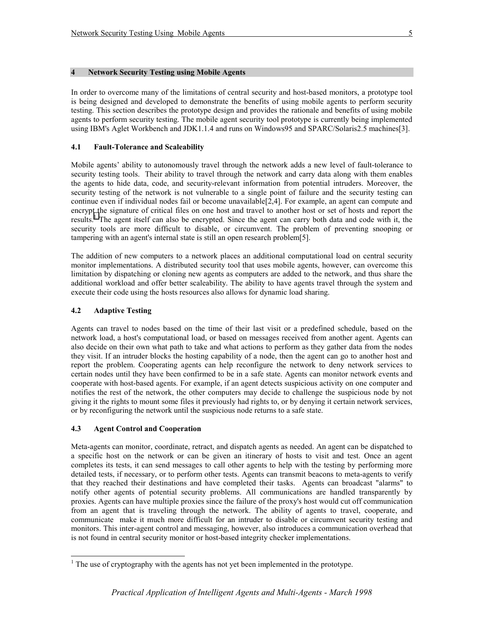In order to overcome many of the limitations of central security and host-based monitors, a prototype tool is being designed and developed to demonstrate the benefits of using mobile agents to perform security testing. This section describes the prototype design and provides the rationale and benefits of using mobile agents to perform security testing. The mobile agent security tool prototype is currently being implemented using IBM's Aglet Workbench and JDK1.1.4 and runs on Windows95 and SPARC/Solaris2.5 machines[3].

## **4.1 Fault-Tolerance and Scaleability**

 security testing tools. Their ability to travel through the network and carry data along with them enables Mobile agents' ability to autonomously travel through the network adds a new level of fault-tolerance to the agents to hide data, code, and security-relevant information from potential intruders. Moreover, the security testing of the network is not vulnerable to a single point of failure and the security testing can continue even if individual nodes fail or become unavailable[2,4]. For example, an agent can compute and encrypt the signature of critical files on one host and travel to another host or set of hosts and report the results.<sup>1</sup> The agent itself can also be encrypted. Since the agent can carry both data and code with it, the security tools are more difficult to disable, or circumvent. The problem of preventing snooping or tampering with an agent's internal state is still an open research problem[5].

 monitor implementations. A distributed security tool that uses mobile agents, however, can overcome this execute their code using the hosts resources also allows for dynamic load sharing. The addition of new computers to a network places an additional computational load on central security limitation by dispatching or cloning new agents as computers are added to the network, and thus share the additional workload and offer better scaleability. The ability to have agents travel through the system and

# **4.2 Adaptive Testing**

 $\overline{a}$ 

 network load, a host's computational load, or based on messages received from another agent. Agents can notifies the rest of the network, the other computers may decide to challenge the suspicious node by not giving it the rights to mount some files it previously had rights to, or by denying it certain network services, Agents can travel to nodes based on the time of their last visit or a predefined schedule, based on the also decide on their own what path to take and what actions to perform as they gather data from the nodes they visit. If an intruder blocks the hosting capability of a node, then the agent can go to another host and report the problem. Cooperating agents can help reconfigure the network to deny network services to certain nodes until they have been confirmed to be in a safe state. Agents can monitor network events and cooperate with host-based agents. For example, if an agent detects suspicious activity on one computer and or by reconfiguring the network until the suspicious node returns to a safe state.

# **4.3 Agent Control and Cooperation**

Meta-agents can monitor, coordinate, retract, and dispatch agents as needed. An agent can be dispatched to a specific host on the network or can be given an itinerary of hosts to visit and test. Once an agent completes its tests, it can send messages to call other agents to help with the testing by performing more detailed tests, if necessary, or to perform other tests. Agents can transmit beacons to meta-agents to verify that they reached their destinations and have completed their tasks. Agents can broadcast "alarms" to notify other agents of potential security problems. All communications are handled transparently by proxies. Agents can have multiple proxies since the failure of the proxy's host would cut off communication from an agent that is traveling through the network. The ability of agents to travel, cooperate, and communicate make it much more difficult for an intruder to disable or circumvent security testing and monitors. This inter-agent control and messaging, however, also introduces a communication overhead that is not found in central security monitor or host-based integrity checker implementations.

 $<sup>1</sup>$  The use of cryptography with the agents has not yet been implemented in the prototype.</sup>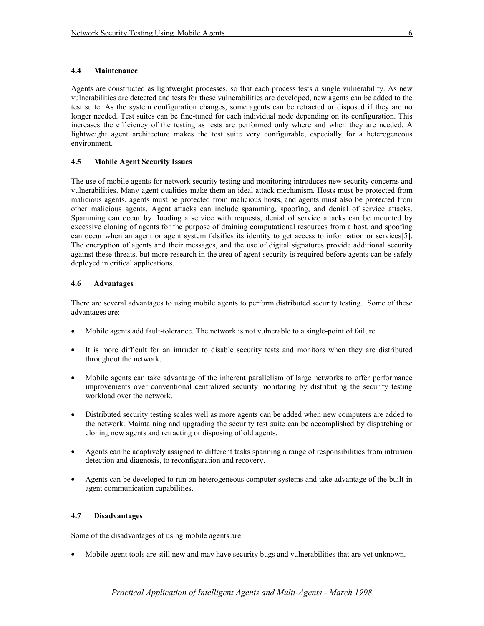## **4.4 Maintenance**

 Agents are constructed as lightweight processes, so that each process tests a single vulnerability. As new environment. vulnerabilities are detected and tests for these vulnerabilities are developed, new agents can be added to the test suite. As the system configuration changes, some agents can be retracted or disposed if they are no longer needed. Test suites can be fine-tuned for each individual node depending on its configuration. This increases the efficiency of the testing as tests are performed only where and when they are needed. A lightweight agent architecture makes the test suite very configurable, especially for a heterogeneous

## **4.5 Mobile Agent Security Issues**

 The use of mobile agents for network security testing and monitoring introduces new security concerns and malicious agents, agents must be protected from malicious hosts, and agents must also be protected from vulnerabilities. Many agent qualities make them an ideal attack mechanism. Hosts must be protected from other malicious agents. Agent attacks can include spamming, spoofing, and denial of service attacks. Spamming can occur by flooding a service with requests, denial of service attacks can be mounted by excessive cloning of agents for the purpose of draining computational resources from a host, and spoofing can occur when an agent or agent system falsifies its identity to get access to information or services[5]. The encryption of agents and their messages, and the use of digital signatures provide additional security against these threats, but more research in the area of agent security is required before agents can be safely deployed in critical applications.

## **4.6 Advantages**

There are several advantages to using mobile agents to perform distributed security testing. Some of these advantages are:

- Mobile agents add fault-tolerance. The network is not vulnerable to a single-point of failure.
- throughout the network. • It is more difficult for an intruder to disable security tests and monitors when they are distributed
- Mobile agents can take advantage of the inherent parallelism of large networks to offer performance improvements over conventional centralized security monitoring by distributing the security testing workload over the network.
- Distributed security testing scales well as more agents can be added when new computers are added to the network. Maintaining and upgrading the security test suite can be accomplished by dispatching or cloning new agents and retracting or disposing of old agents.
- Agents can be adaptively assigned to different tasks spanning a range of responsibilities from intrusion detection and diagnosis, to reconfiguration and recovery.
- Agents can be developed to run on heterogeneous computer systems and take advantage of the built-in agent communication capabilities.

## **4.7 Disadvantages**

Some of the disadvantages of using mobile agents are:

• Mobile agent tools are still new and may have security bugs and vulnerabilities that are yet unknown.